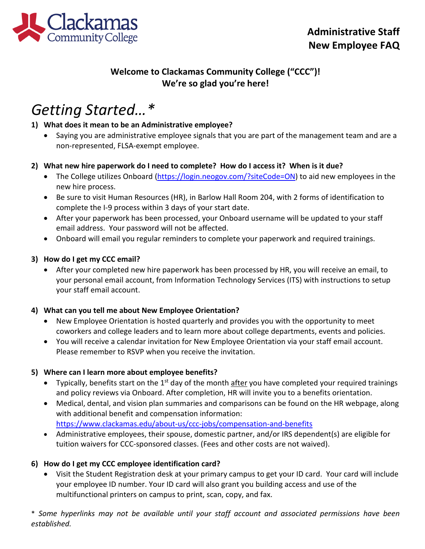

# **Welcome to Clackamas Community College ("CCC")! We're so glad you're here!**

# *Getting Started…\**

### **1) What does it mean to be an Administrative employee?**

• Saying you are administrative employee signals that you are part of the management team and are a non-represented, FLSA-exempt employee.

### **2) What new hire paperwork do I need to complete? How do I access it? When is it due?**

- The College utilizes Onboard [\(https://login.neogov.com/?siteCode=ON\)](https://login.neogov.com/?siteCode=ON) to aid new employees in the new hire process.
- Be sure to visit Human Resources (HR), in Barlow Hall Room 204, with 2 forms of identification to complete the I-9 process within 3 days of your start date.
- After your paperwork has been processed, your Onboard username will be updated to your staff email address. Your password will not be affected.
- Onboard will email you regular reminders to complete your paperwork and required trainings.

### **3) How do I get my CCC email?**

• After your completed new hire paperwork has been processed by HR, you will receive an email, to your personal email account, from Information Technology Services (ITS) with instructions to setup your staff email account.

### **4) What can you tell me about New Employee Orientation?**

- New Employee Orientation is hosted quarterly and provides you with the opportunity to meet coworkers and college leaders and to learn more about college departments, events and policies.
- You will receive a calendar invitation for New Employee Orientation via your staff email account. Please remember to RSVP when you receive the invitation.

### **5) Where can I learn more about employee benefits?**

- Typically, benefits start on the  $1<sup>st</sup>$  day of the month after you have completed your required trainings and policy reviews via Onboard. After completion, HR will invite you to a benefits orientation.
- Medical, dental, and vision plan summaries and comparisons can be found on the HR webpage, along with additional benefit and compensation information: <https://www.clackamas.edu/about-us/ccc-jobs/compensation-and-benefits>
- Administrative employees, their spouse, domestic partner, and/or IRS dependent(s) are eligible for tuition waivers for CCC-sponsored classes. (Fees and other costs are not waived).

# **6) How do I get my CCC employee identification card?**

• Visit the Student Registration desk at your primary campus to get your ID card. Your card will include your employee ID number. Your ID card will also grant you building access and use of the multifunctional printers on campus to print, scan, copy, and fax.

\* *Some hyperlinks may not be available until your staff account and associated permissions have been established.*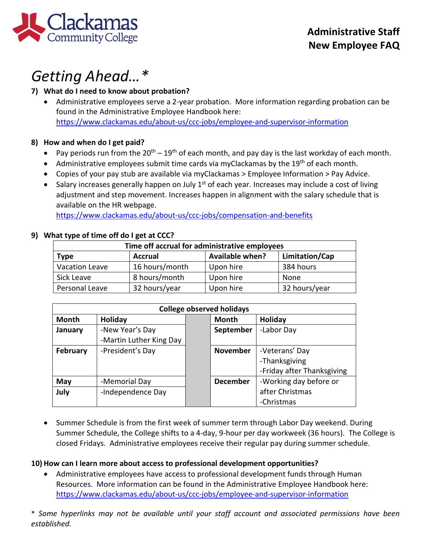

# *Getting Ahead…\**

### **7) What do I need to know about probation?**

• Administrative employees serve a 2-year probation. More information regarding probation can be found in the Administrative Employee Handbook here: <https://www.clackamas.edu/about-us/ccc-jobs/employee-and-supervisor-information>

### **8) How and when do I get paid?**

- Pay periods run from the  $20^{th} 19^{th}$  of each month, and pay day is the last workday of each month.
- Administrative employees submit time cards via myClackamas by the 19<sup>th</sup> of each month.
- Copies of your pay stub are available via myClackamas > Employee Information > Pay Advice.
- Salary increases generally happen on July  $1<sup>st</sup>$  of each year. Increases may include a cost of living adjustment and step movement. Increases happen in alignment with the salary schedule that is available on the HR webpage.

<https://www.clackamas.edu/about-us/ccc-jobs/compensation-and-benefits>

### **9) What type of time off do I get at CCC?**

| Time off accrual for administrative employees |                |                        |                |  |  |
|-----------------------------------------------|----------------|------------------------|----------------|--|--|
| <b>Type</b>                                   | <b>Accrual</b> | <b>Available when?</b> | Limitation/Cap |  |  |
| <b>Vacation Leave</b>                         | 16 hours/month | Upon hire              | 384 hours      |  |  |
| Sick Leave                                    | 8 hours/month  | Upon hire              | None           |  |  |
| Personal Leave                                | 32 hours/year  | Upon hire              | 32 hours/year  |  |  |

| <b>College observed holidays</b> |                         |  |                 |                            |  |
|----------------------------------|-------------------------|--|-----------------|----------------------------|--|
| <b>Month</b>                     | Holiday                 |  | <b>Month</b>    | Holiday                    |  |
| January                          | -New Year's Day         |  | September       | -Labor Day                 |  |
|                                  | -Martin Luther King Day |  |                 |                            |  |
| February                         | -President's Day        |  | <b>November</b> | -Veterans' Day             |  |
|                                  |                         |  |                 | -Thanksgiving              |  |
|                                  |                         |  |                 | -Friday after Thanksgiving |  |
| May                              | -Memorial Day           |  | <b>December</b> | -Working day before or     |  |
| July                             | -Independence Day       |  |                 | after Christmas            |  |
|                                  |                         |  |                 | -Christmas                 |  |

• Summer Schedule is from the first week of summer term through Labor Day weekend. During Summer Schedule, the College shifts to a 4-day, 9-hour per day workweek (36 hours). The College is closed Fridays. Administrative employees receive their regular pay during summer schedule.

### **10) How can I learn more about access to professional development opportunities?**

• Administrative employees have access to professional development funds through Human Resources. More information can be found in the Administrative Employee Handbook here: <https://www.clackamas.edu/about-us/ccc-jobs/employee-and-supervisor-information>

\* *Some hyperlinks may not be available until your staff account and associated permissions have been established.*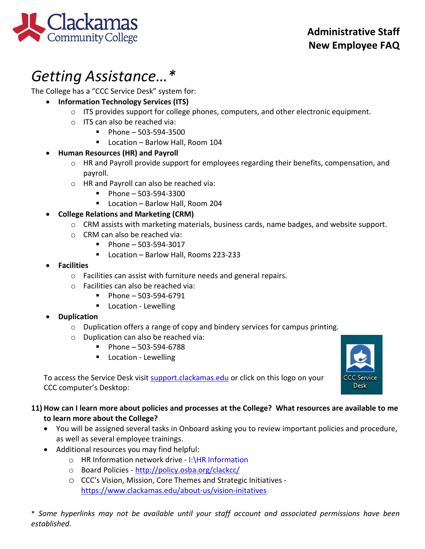

# *Getting Assistance…\**

The College has a "CCC Service Desk" system for:

- **Information Technology Services (ITS)**
	- o ITS provides support for college phones, computers, and other electronic equipment.
	- o ITS can also be reached via:
		- $\blacksquare$  Phone 503-594-3500
		- Location Barlow Hall, Room 104

# • **Human Resources (HR) and Payroll**

- o HR and Payroll provide support for employees regarding their benefits, compensation, and payroll.
- o HR and Payroll can also be reached via:
	- $\blacksquare$  Phone 503-594-3300
	- Location Barlow Hall, Room 204

# • **College Relations and Marketing (CRM)**

- o CRM assists with marketing materials, business cards, name badges, and website support.
- o CRM can also be reached via:
	- $\blacksquare$  Phone 503-594-3017
	- Location Barlow Hall, Rooms 223-233
- **Facilities**
	- o Facilities can assist with furniture needs and general repairs.
	- o Facilities can also be reached via:
		- $\blacksquare$  Phone 503-594-6791
		- **Location Lewelling**

# • **Duplication**

- $\circ$  Duplication offers a range of copy and bindery services for campus printing.
- o Duplication can also be reached via:
	- $\blacksquare$  Phone 503-594-6788
	- **Location Lewelling**

**CCC Service** Desk

To access the Service Desk visit [support.clackamas.edu](https://clackamas.teamdynamix.com/TDClient/Home/) or click on this logo on your CCC computer's Desktop:

# **11) How can I learn more about policies and processes at the College? What resources are available to me to learn more about the College?**

- You will be assigned several tasks in Onboard asking you to review important policies and procedure, as well as several employee trainings.
- Additional resources you may find helpful:
	- o HR Information network drive I:\HR Information
	- o Board Policies <http://policy.osba.org/clackcc/>
	- o CCC's Vision, Mission, Core Themes and Strategic Initiatives <https://www.clackamas.edu/about-us/vision-initatives>

\* *Some hyperlinks may not be available until your staff account and associated permissions have been established.*